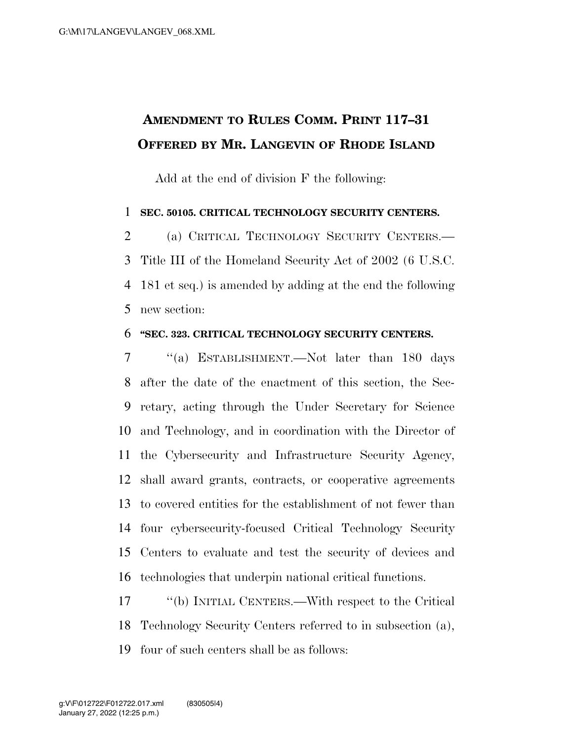## **AMENDMENT TO RULES COMM. PRINT 117–31 OFFERED BY MR. LANGEVIN OF RHODE ISLAND**

Add at the end of division F the following:

## **SEC. 50105. CRITICAL TECHNOLOGY SECURITY CENTERS.**

 (a) CRITICAL TECHNOLOGY SECURITY CENTERS.— Title III of the Homeland Security Act of 2002 (6 U.S.C. 181 et seq.) is amended by adding at the end the following new section:

## **''SEC. 323. CRITICAL TECHNOLOGY SECURITY CENTERS.**

 ''(a) ESTABLISHMENT.—Not later than 180 days after the date of the enactment of this section, the Sec- retary, acting through the Under Secretary for Science and Technology, and in coordination with the Director of the Cybersecurity and Infrastructure Security Agency, shall award grants, contracts, or cooperative agreements to covered entities for the establishment of not fewer than four cybersecurity-focused Critical Technology Security Centers to evaluate and test the security of devices and technologies that underpin national critical functions.

 ''(b) INITIAL CENTERS.—With respect to the Critical Technology Security Centers referred to in subsection (a), four of such centers shall be as follows: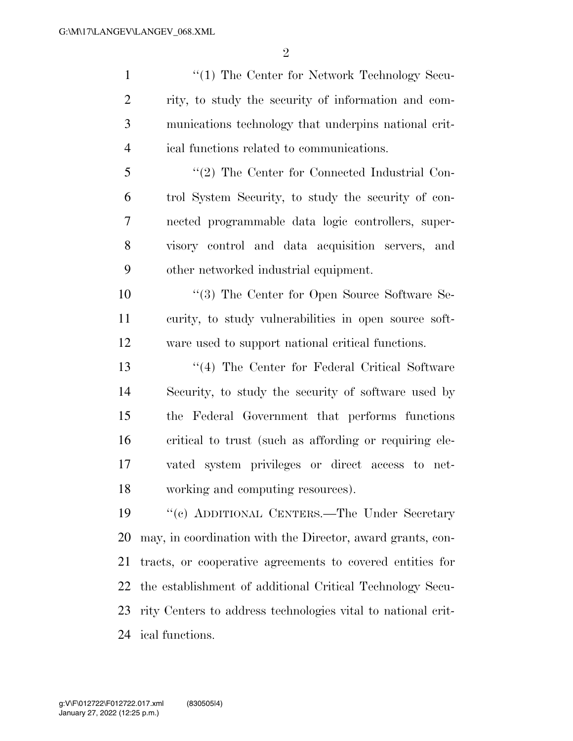$\mathfrak{D}$ 

1 ''(1) The Center for Network Technology Secu- rity, to study the security of information and com- munications technology that underpins national crit-ical functions related to communications.

 ''(2) The Center for Connected Industrial Con- trol System Security, to study the security of con- nected programmable data logic controllers, super- visory control and data acquisition servers, and other networked industrial equipment.

10 ''(3) The Center for Open Source Software Se- curity, to study vulnerabilities in open source soft-ware used to support national critical functions.

13 ''(4) The Center for Federal Critical Software Security, to study the security of software used by the Federal Government that performs functions critical to trust (such as affording or requiring ele- vated system privileges or direct access to net-working and computing resources).

 ''(c) ADDITIONAL CENTERS.—The Under Secretary may, in coordination with the Director, award grants, con- tracts, or cooperative agreements to covered entities for the establishment of additional Critical Technology Secu- rity Centers to address technologies vital to national crit-ical functions.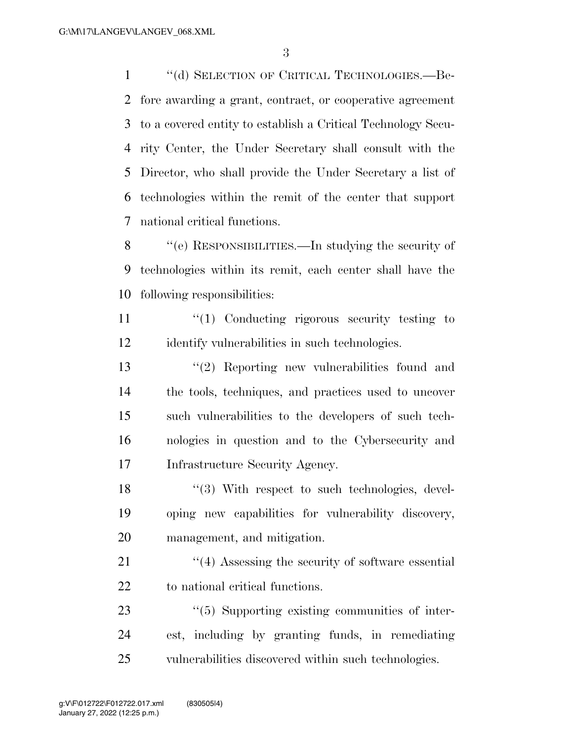''(d) SELECTION OF CRITICAL TECHNOLOGIES.—Be- fore awarding a grant, contract, or cooperative agreement to a covered entity to establish a Critical Technology Secu- rity Center, the Under Secretary shall consult with the Director, who shall provide the Under Secretary a list of technologies within the remit of the center that support national critical functions.

 ''(e) RESPONSIBILITIES.—In studying the security of technologies within its remit, each center shall have the following responsibilities:

11 ''(1) Conducting rigorous security testing to identify vulnerabilities in such technologies.

 ''(2) Reporting new vulnerabilities found and the tools, techniques, and practices used to uncover such vulnerabilities to the developers of such tech- nologies in question and to the Cybersecurity and Infrastructure Security Agency.

18 ''(3) With respect to such technologies, devel- oping new capabilities for vulnerability discovery, management, and mitigation.

21 ''(4) Assessing the security of software essential to national critical functions.

23  $\frac{1}{2}$  (5) Supporting existing communities of inter- est, including by granting funds, in remediating vulnerabilities discovered within such technologies.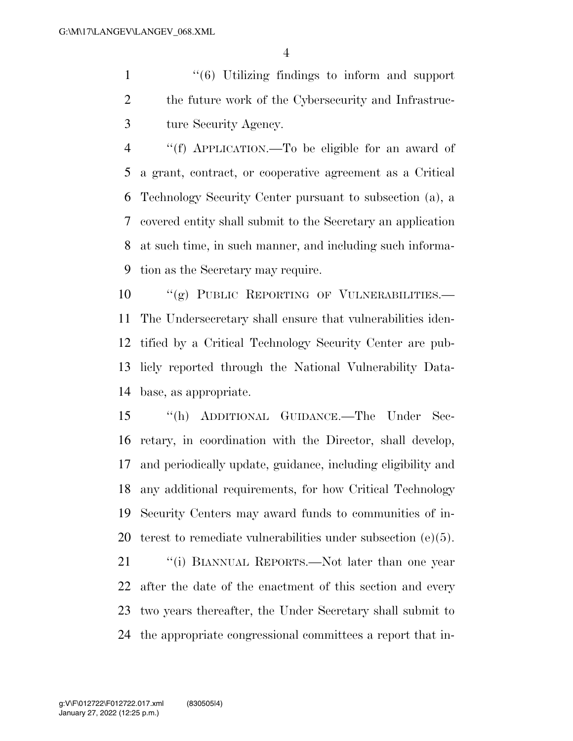1 ''(6) Utilizing findings to inform and support the future work of the Cybersecurity and Infrastruc-ture Security Agency.

 ''(f) APPLICATION.—To be eligible for an award of a grant, contract, or cooperative agreement as a Critical Technology Security Center pursuant to subsection (a), a covered entity shall submit to the Secretary an application at such time, in such manner, and including such informa-tion as the Secretary may require.

10 "(g) PUBLIC REPORTING OF VULNERABILITIES. The Undersecretary shall ensure that vulnerabilities iden- tified by a Critical Technology Security Center are pub- licly reported through the National Vulnerability Data-base, as appropriate.

 ''(h) ADDITIONAL GUIDANCE.—The Under Sec- retary, in coordination with the Director, shall develop, and periodically update, guidance, including eligibility and any additional requirements, for how Critical Technology Security Centers may award funds to communities of in-terest to remediate vulnerabilities under subsection (e)(5).

21 ""(i) BIANNUAL REPORTS.—Not later than one year after the date of the enactment of this section and every two years thereafter, the Under Secretary shall submit to the appropriate congressional committees a report that in-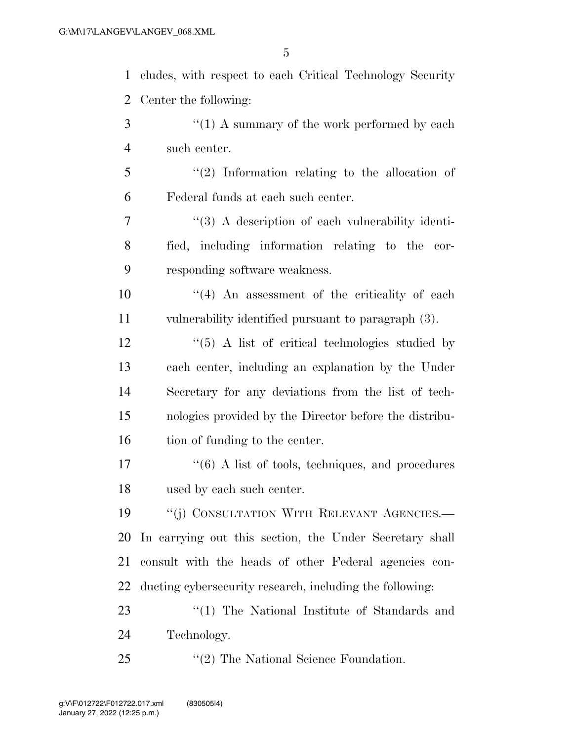cludes, with respect to each Critical Technology Security Center the following:  $\mathcal{F}$   $\mathcal{F}(1)$  A summary of the work performed by each such center. ''(2) Information relating to the allocation of Federal funds at each such center. ''(3) A description of each vulnerability identi- fied, including information relating to the cor- responding software weakness.  $(4)$  An assessment of the criticality of each vulnerability identified pursuant to paragraph (3). 12 ''(5) A list of critical technologies studied by each center, including an explanation by the Under Secretary for any deviations from the list of tech- nologies provided by the Director before the distribu-16 tion of funding to the center. 17 ''(6) A list of tools, techniques, and procedures used by each such center. 19 <sup>"</sup>(j) CONSULTATION WITH RELEVANT AGENCIES.— In carrying out this section, the Under Secretary shall consult with the heads of other Federal agencies con-ducting cybersecurity research, including the following:

23 ''(1) The National Institute of Standards and Technology.

''(2) The National Science Foundation.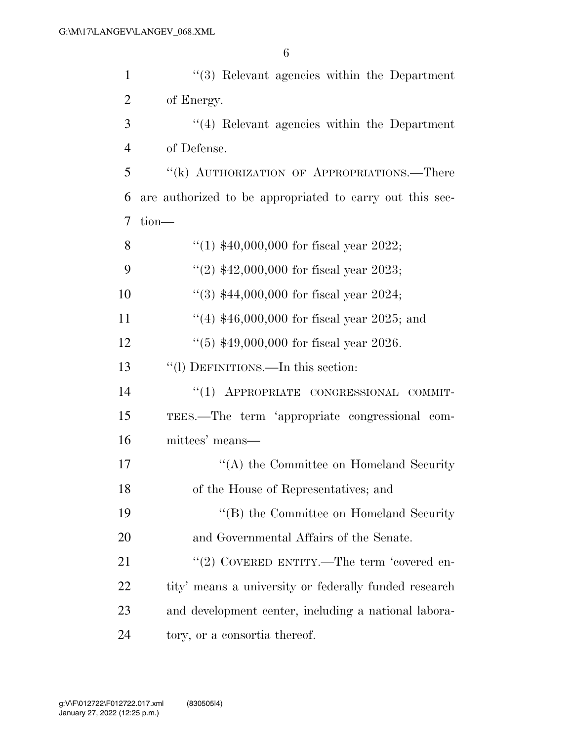| $\mathbf{1}$   | $\cdot$ (3) Relevant agencies within the Department      |
|----------------|----------------------------------------------------------|
| $\overline{2}$ | of Energy.                                               |
| 3              | $\cdot$ (4) Relevant agencies within the Department      |
| $\overline{4}$ | of Defense.                                              |
| 5              | "(k) AUTHORIZATION OF APPROPRIATIONS.—There              |
| 6              | are authorized to be appropriated to carry out this sec- |
| 7              | tion-                                                    |
| 8              | "(1) $$40,000,000$ for fiscal year 2022;                 |
| 9              | "(2) $$42,000,000$ for fiscal year 2023;                 |
| 10             | "(3) $$44,000,000$ for fiscal year 2024;                 |
| 11             | "(4) $$46,000,000$ for fiscal year 2025; and             |
| 12             | $(5)$ \$49,000,000 for fiscal year 2026.                 |
| 13             | "(1) DEFINITIONS.—In this section:                       |
| 14             | "(1) APPROPRIATE CONGRESSIONAL COMMIT-                   |
| 15             | TEES.—The term 'appropriate congressional com-           |
| 16             | mittees' means—                                          |
| 17             | $\lq\lq$ the Committee on Homeland Security              |
| 18             | of the House of Representatives; and                     |
| 19             | "(B) the Committee on Homeland Security                  |
| 20             | and Governmental Affairs of the Senate.                  |
| 21             | "(2) COVERED ENTITY.—The term 'covered en-               |
| 22             | tity' means a university or federally funded research    |
| 23             | and development center, including a national labora-     |
| 24             | tory, or a consortia thereof.                            |